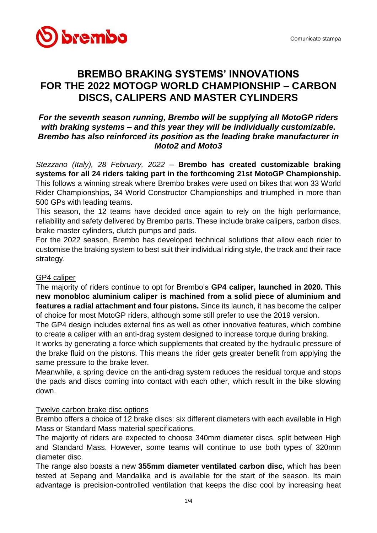

# **BREMBO BRAKING SYSTEMS' INNOVATIONS FOR THE 2022 MOTOGP WORLD CHAMPIONSHIP – CARBON DISCS, CALIPERS AND MASTER CYLINDERS**

## *For the seventh season running, Brembo will be supplying all MotoGP riders with braking systems – and this year they will be individually customizable. Brembo has also reinforced its position as the leading brake manufacturer in Moto2 and Moto3*

*Stezzano (Italy), 28 February, 2022 –* **Brembo has created customizable braking systems for all 24 riders taking part in the forthcoming 21st MotoGP Championship.**  This follows a winning streak where Brembo brakes were used on bikes that won 33 World Rider Championships**,** 34 World Constructor Championships and triumphed in more than 500 GPs with leading teams.

This season, the 12 teams have decided once again to rely on the high performance, reliability and safety delivered by Brembo parts. These include brake calipers, carbon discs, brake master cylinders, clutch pumps and pads.

For the 2022 season, Brembo has developed technical solutions that allow each rider to customise the braking system to best suit their individual riding style, the track and their race strategy.

#### GP4 caliper

The majority of riders continue to opt for Brembo's **GP4 caliper, launched in 2020. This new monobloc aluminium caliper is machined from a solid piece of aluminium and features a radial attachment and four pistons.** Since its launch, it has become the caliper of choice for most MotoGP riders, although some still prefer to use the 2019 version.

The GP4 design includes external fins as well as other innovative features, which combine to create a caliper with an anti-drag system designed to increase torque during braking.

It works by generating a force which supplements that created by the hydraulic pressure of the brake fluid on the pistons. This means the rider gets greater benefit from applying the same pressure to the brake lever.

Meanwhile, a spring device on the anti-drag system reduces the residual torque and stops the pads and discs coming into contact with each other, which result in the bike slowing down.

#### Twelve carbon brake disc options

Brembo offers a choice of 12 brake discs: six different diameters with each available in High Mass or Standard Mass material specifications.

The majority of riders are expected to choose 340mm diameter discs, split between High and Standard Mass. However, some teams will continue to use both types of 320mm diameter disc.

The range also boasts a new **355mm diameter ventilated carbon disc,** which has been tested at Sepang and Mandalika and is available for the start of the season. Its main advantage is precision-controlled ventilation that keeps the disc cool by increasing heat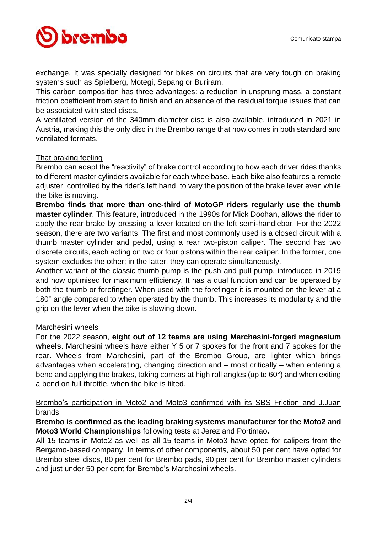

exchange. It was specially designed for bikes on circuits that are very tough on braking systems such as Spielberg, Motegi, Sepang or Buriram.

This carbon composition has three advantages: a reduction in unsprung mass, a constant friction coefficient from start to finish and an absence of the residual torque issues that can be associated with steel discs.

A ventilated version of the 340mm diameter disc is also available, introduced in 2021 in Austria, making this the only disc in the Brembo range that now comes in both standard and ventilated formats.

#### That braking feeling

Brembo can adapt the "reactivity" of brake control according to how each driver rides thanks to different master cylinders available for each wheelbase. Each bike also features a remote adjuster, controlled by the rider's left hand, to vary the position of the brake lever even while the bike is moving.

**Brembo finds that more than one-third of MotoGP riders regularly use the thumb master cylinder**. This feature, introduced in the 1990s for Mick Doohan, allows the rider to apply the rear brake by pressing a lever located on the left semi-handlebar. For the 2022 season, there are two variants. The first and most commonly used is a closed circuit with a thumb master cylinder and pedal, using a rear two-piston caliper. The second has two discrete circuits, each acting on two or four pistons within the rear caliper. In the former, one system excludes the other; in the latter, they can operate simultaneously.

Another variant of the classic thumb pump is the push and pull pump, introduced in 2019 and now optimised for maximum efficiency. It has a dual function and can be operated by both the thumb or forefinger. When used with the forefinger it is mounted on the lever at a 180° angle compared to when operated by the thumb. This increases its modularity and the grip on the lever when the bike is slowing down.

#### Marchesini wheels

For the 2022 season, **eight out of 12 teams are using Marchesini-forged magnesium wheels**. Marchesini wheels have either Y 5 or 7 spokes for the front and 7 spokes for the rear. Wheels from Marchesini, part of the Brembo Group, are lighter which brings advantages when accelerating, changing direction and – most critically – when entering a bend and applying the brakes, taking corners at high roll angles (up to 60°) and when exiting a bend on full throttle, when the bike is tilted.

### Brembo's participation in Moto2 and Moto3 confirmed with its SBS Friction and J.Juan brands

#### **Brembo is confirmed as the leading braking systems manufacturer for the Moto2 and Moto3 World Championships** following tests at Jerez and Portimao**.**

All 15 teams in Moto2 as well as all 15 teams in Moto3 have opted for calipers from the Bergamo-based company. In terms of other components, about 50 per cent have opted for Brembo steel discs, 80 per cent for Brembo pads, 90 per cent for Brembo master cylinders and just under 50 per cent for Brembo's Marchesini wheels.